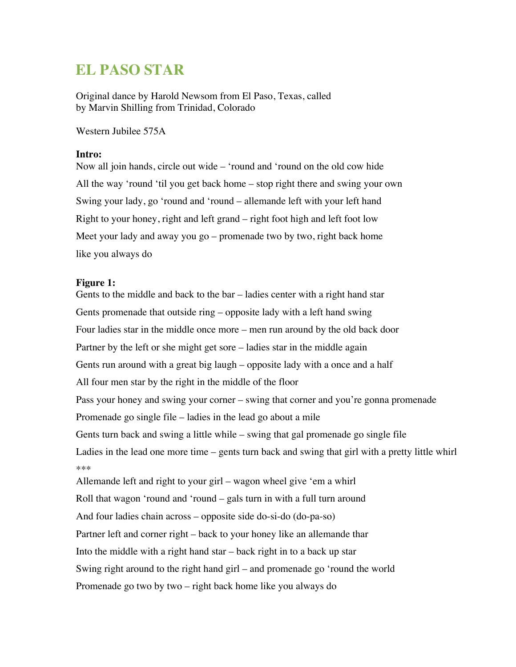# **EL PASO STAR**

Original dance by Harold Newsom from El Paso, Texas, called by Marvin Shilling from Trinidad, Colorado

Western Jubilee 575A

# **Intro:**

Now all join hands, circle out wide – 'round and 'round on the old cow hide All the way 'round 'til you get back home – stop right there and swing your own Swing your lady, go 'round and 'round – allemande left with your left hand Right to your honey, right and left grand – right foot high and left foot low Meet your lady and away you go – promenade two by two, right back home like you always do

### **Figure 1:**

Gents to the middle and back to the bar – ladies center with a right hand star Gents promenade that outside ring – opposite lady with a left hand swing Four ladies star in the middle once more – men run around by the old back door Partner by the left or she might get sore – ladies star in the middle again Gents run around with a great big laugh – opposite lady with a once and a half All four men star by the right in the middle of the floor Pass your honey and swing your corner – swing that corner and you're gonna promenade Promenade go single file – ladies in the lead go about a mile Gents turn back and swing a little while – swing that gal promenade go single file Ladies in the lead one more time – gents turn back and swing that girl with a pretty little whirl \*\*\* Allemande left and right to your girl – wagon wheel give 'em a whirl Roll that wagon 'round and 'round – gals turn in with a full turn around And four ladies chain across – opposite side do-si-do (do-pa-so) Partner left and corner right – back to your honey like an allemande thar Into the middle with a right hand star – back right in to a back up star Swing right around to the right hand girl – and promenade go 'round the world Promenade go two by two – right back home like you always do